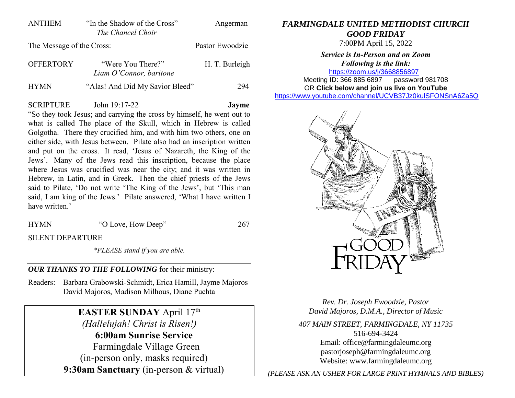| ANTHEM                    | "In the Shadow of the Cross" | Angerman        |
|---------------------------|------------------------------|-----------------|
|                           | The Chancel Choir            |                 |
| The Message of the Cross: |                              | Pastor Ewoodzie |

| <b>OFFERTORY</b> | "Were You There?"               | H. T. Burleigh |
|------------------|---------------------------------|----------------|
|                  | Liam O'Connor, baritone         |                |
| <b>HYMN</b>      | "Alas! And Did My Savior Bleed" | 294            |

## SCRIPTURE John 19:17-22 **Jayme**

"So they took Jesus; and carrying the cross by himself, he went out to what is called The place of the Skull, which in Hebrew is called Golgotha. There they crucified him, and with him two others, one on either side, with Jesus between. Pilate also had an inscription written and put on the cross. It read, 'Jesus of Nazareth, the King of the Jews'. Many of the Jews read this inscription, because the place where Jesus was crucified was near the city; and it was written in Hebrew, in Latin, and in Greek. Then the chief priests of the Jews said to Pilate, 'Do not write 'The King of the Jews', but 'This man said, I am king of the Jews.' Pilate answered, 'What I have written I have written.'

HYMN "O Love, How Deep" 267

SILENT DEPARTURE

*\*PLEASE stand if you are able.*

## *OUR THANKS TO THE FOLLOWING* for their ministry:

Readers: Barbara Grabowski-Schmidt, Erica Hamill, Jayme Majoros David Majoros, Madison Milhous, Diane Puchta

# **EASTER SUNDAY** April 17<sup>th</sup>

*(Hallelujah! Christ is Risen!)* **6:00am Sunrise Service** Farmingdale Village Green (in-person only, masks required) **9:30am Sanctuary** (in-person & virtual)

### *FARMINGDALE UNITED METHODIST CHURCH GOOD FRIDAY*

7:00PM April 15, 2022

*Service is In-Person and on Zoom Following is the link:* <https://zoom.us/j/3668856897>

Meeting ID: 366 885 6897 password 981708 OR **Click below and join us live on YouTube** 

[https://www.youtube.com/channel/UCVB37Jz0kulSFONSnA6Za5Q](https://r20.rs6.net/tn.jsp?f=001k6RGPvPFbGGMIcfKWiNR_iQRr6wnePVJO5wPBmTGTUG-6H7Rno-Ccjzncf7RAcA2aCO1usCGiuYYhUDPog8HWc38p-B70aEHKS8a7AZ633unLlDnlsyY1rSZY7DrB1di009D1MFmnX36MQIEkLrC34ZIDpgMTMT95Xsd-rYhXX761Me0QKhAdY1E-Os86l7d&c=&ch=)



*Rev. Dr. Joseph Ewoodzie, Pastor David Majoros, D.M.A., Director of Music*

*407 MAIN STREET, FARMINGDALE, NY 11735* 516-694-3424 Email: [office@farmingdaleumc.org](mailto:office@farmingdaleumc.org) pastorjoseph@farmingdaleumc.org Website: www.farmingdaleumc.org

*(PLEASE ASK AN USHER FOR LARGE PRINT HYMNALS AND BIBLES)*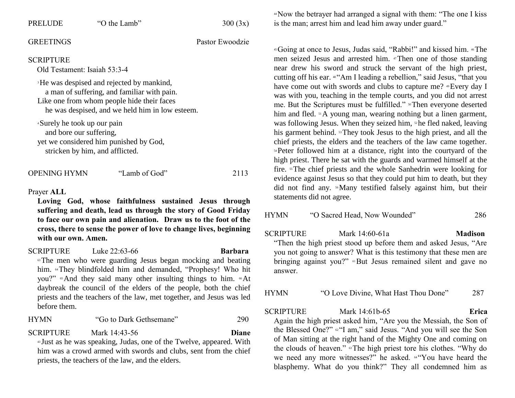| <b>PRELUDE</b>                                                                                                                               | "O the Lamb"                                                              | 300(3x)         |  |  |
|----------------------------------------------------------------------------------------------------------------------------------------------|---------------------------------------------------------------------------|-----------------|--|--|
| <b>GREETINGS</b>                                                                                                                             |                                                                           | Pastor Ewoodzie |  |  |
| <b>SCRIPTURE</b><br>Old Testament: Isaiah 53:3-4                                                                                             | <sup>3</sup> He was despised and rejected by mankind,                     |                 |  |  |
| a man of suffering, and familiar with pain.<br>Like one from whom people hide their faces<br>he was despised, and we held him in low esteem. |                                                                           |                 |  |  |
| <sup>4</sup> Surely he took up our pain<br>and bore our suffering,                                                                           | yet we considered him punished by God,<br>stricken by him, and afflicted. |                 |  |  |
| <b>OPENING HYMN</b>                                                                                                                          | "Lamb of God"                                                             | 2113            |  |  |
| Prayer ALL<br>Loving God, whose faithfulness sustained Jesus through<br>suffering and death, lead us through the story of Good Friday<br>TT  |                                                                           |                 |  |  |

**to face our own pain and alienation. Draw us to the foot of the cross, there to sense the power of love to change lives, beginning with our own. Amen.**

SCRIPTURE Luke 22:63-66 **Barbara**

<sup>63</sup>The men who were guarding Jesus began mocking and beating him. <sup>64</sup>They blindfolded him and demanded, "Prophesy! Who hit you?" "And they said many other insulting things to him. "At daybreak the council of the elders of the people, both the chief priests and the teachers of the law, met together, and Jesus was led before them.

HYMN "Go to Dark Gethsemane" 290

SCRIPTURE Mark 14:43-56 **Diane**

<sup>43</sup> Just as he was speaking, Judas, one of the Twelve, appeared. With him was a crowd armed with swords and clubs, sent from the chief priests, the teachers of the law, and the elders.

<sup>44</sup>Now the betrayer had arranged a signal with them: "The one I kiss is the man; arrest him and lead him away under guard."

<sup>45</sup>Going at once to Jesus, Judas said, "Rabbi!" and kissed him. 46The men seized Jesus and arrested him. 47Then one of those standing near drew his sword and struck the servant of the high priest, cutting off his ear. <sup>48</sup> "Am I leading a rebellion," said Jesus, "that you have come out with swords and clubs to capture me? <sup>49</sup>Every day I was with you, teaching in the temple courts, and you did not arrest me. But the Scriptures must be fulfilled." <sup>50</sup>Then everyone deserted him and fled. 51 A young man, wearing nothing but a linen garment, was following Jesus. When they seized him,  $\Phi$  he fled naked, leaving his garment behind. <sup>53</sup>They took Jesus to the high priest, and all the chief priests, the elders and the teachers of the law came together. <sup>54</sup>Peter followed him at a distance, right into the courtyard of the high priest. There he sat with the guards and warmed himself at the fire. 55The chief priests and the whole Sanhedrin were looking for evidence against Jesus so that they could put him to death, but they did not find any. 56Many testified falsely against him, but their statements did not agree.

| HYMN | "O Sacred Head, Now Wounded" | 286 |
|------|------------------------------|-----|
|      |                              |     |

SCRIPTURE Mark 14:60-61a **Madison**

"Then the high priest stood up before them and asked Jesus, "Are you not going to answer? What is this testimony that these men are bringing against you?" <sup>61</sup>But Jesus remained silent and gave no answer.

| <b>HYMN</b> | "O Love Divine, What Hast Thou Done" | 287 |
|-------------|--------------------------------------|-----|
|-------------|--------------------------------------|-----|

SCRIPTURE Mark 14:61b-65 **Erica** Again the high priest asked him, "Are you the Messiah, the Son of the Blessed One?" <sup>®</sup>"I am," said Jesus. "And you will see the Son of Man sitting at the right hand of the Mighty One and coming on the clouds of heaven." <sup>63</sup>The high priest tore his clothes. "Why do we need any more witnesses?" he asked.  $\alpha$ "You have heard the blasphemy. What do you think?" They all condemned him as